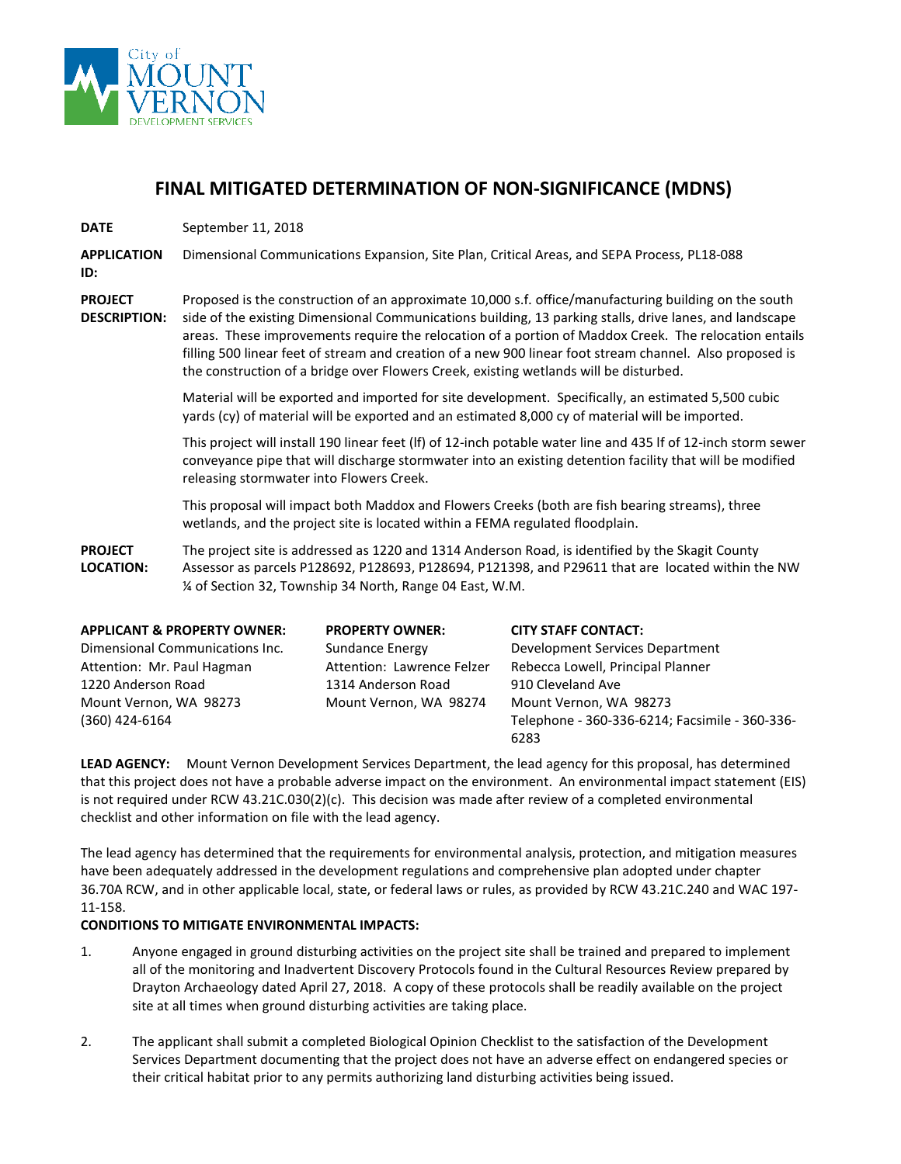

## **FINAL MITIGATED DETERMINATION OF NON-SIGNIFICANCE (MDNS)**

**DATE** September 11, 2018

**APPLICATION**  Dimensional Communications Expansion, Site Plan, Critical Areas, and SEPA Process, PL18-088

**ID:**

**PROJECT** 

**DESCRIPTION:**

Proposed is the construction of an approximate 10,000 s.f. office/manufacturing building on the south side of the existing Dimensional Communications building, 13 parking stalls, drive lanes, and landscape areas. These improvements require the relocation of a portion of Maddox Creek. The relocation entails filling 500 linear feet of stream and creation of a new 900 linear foot stream channel. Also proposed is the construction of a bridge over Flowers Creek, existing wetlands will be disturbed.

Material will be exported and imported for site development. Specifically, an estimated 5,500 cubic yards (cy) of material will be exported and an estimated 8,000 cy of material will be imported.

This project will install 190 linear feet (lf) of 12-inch potable water line and 435 lf of 12-inch storm sewer conveyance pipe that will discharge stormwater into an existing detention facility that will be modified releasing stormwater into Flowers Creek.

This proposal will impact both Maddox and Flowers Creeks (both are fish bearing streams), three wetlands, and the project site is located within a FEMA regulated floodplain.

**PROJECT LOCATION:** The project site is addressed as 1220 and 1314 Anderson Road, is identified by the Skagit County Assessor as parcels P128692, P128693, P128694, P121398, and P29611 that are located within the NW ¼ of Section 32, Township 34 North, Range 04 East, W.M.

| <b>APPLICANT &amp; PROPERTY OWNER:</b> | <b>PROPERTY OWNER:</b>     | <b>CITY STAFF CONTACT:</b>                     |
|----------------------------------------|----------------------------|------------------------------------------------|
| Dimensional Communications Inc.        | Sundance Energy            | Development Services Department                |
| Attention: Mr. Paul Hagman             | Attention: Lawrence Felzer | Rebecca Lowell, Principal Planner              |
| 1220 Anderson Road                     | 1314 Anderson Road         | 910 Cleveland Ave                              |
| Mount Vernon, WA 98273                 | Mount Vernon, WA 98274     | Mount Vernon, WA 98273                         |
| (360) 424-6164                         |                            | Telephone - 360-336-6214; Facsimile - 360-336- |
|                                        |                            | 6283                                           |

**LEAD AGENCY:** Mount Vernon Development Services Department, the lead agency for this proposal, has determined that this project does not have a probable adverse impact on the environment. An environmental impact statement (EIS) is not required under RCW 43.21C.030(2)(c). This decision was made after review of a completed environmental checklist and other information on file with the lead agency.

The lead agency has determined that the requirements for environmental analysis, protection, and mitigation measures have been adequately addressed in the development regulations and comprehensive plan adopted under chapter 36.70A RCW, and in other applicable local, state, or federal laws or rules, as provided by RCW 43.21C.240 and WAC 197- 11-158.

### **CONDITIONS TO MITIGATE ENVIRONMENTAL IMPACTS:**

- 1. Anyone engaged in ground disturbing activities on the project site shall be trained and prepared to implement all of the monitoring and Inadvertent Discovery Protocols found in the Cultural Resources Review prepared by Drayton Archaeology dated April 27, 2018. A copy of these protocols shall be readily available on the project site at all times when ground disturbing activities are taking place.
- 2. The applicant shall submit a completed Biological Opinion Checklist to the satisfaction of the Development Services Department documenting that the project does not have an adverse effect on endangered species or their critical habitat prior to any permits authorizing land disturbing activities being issued.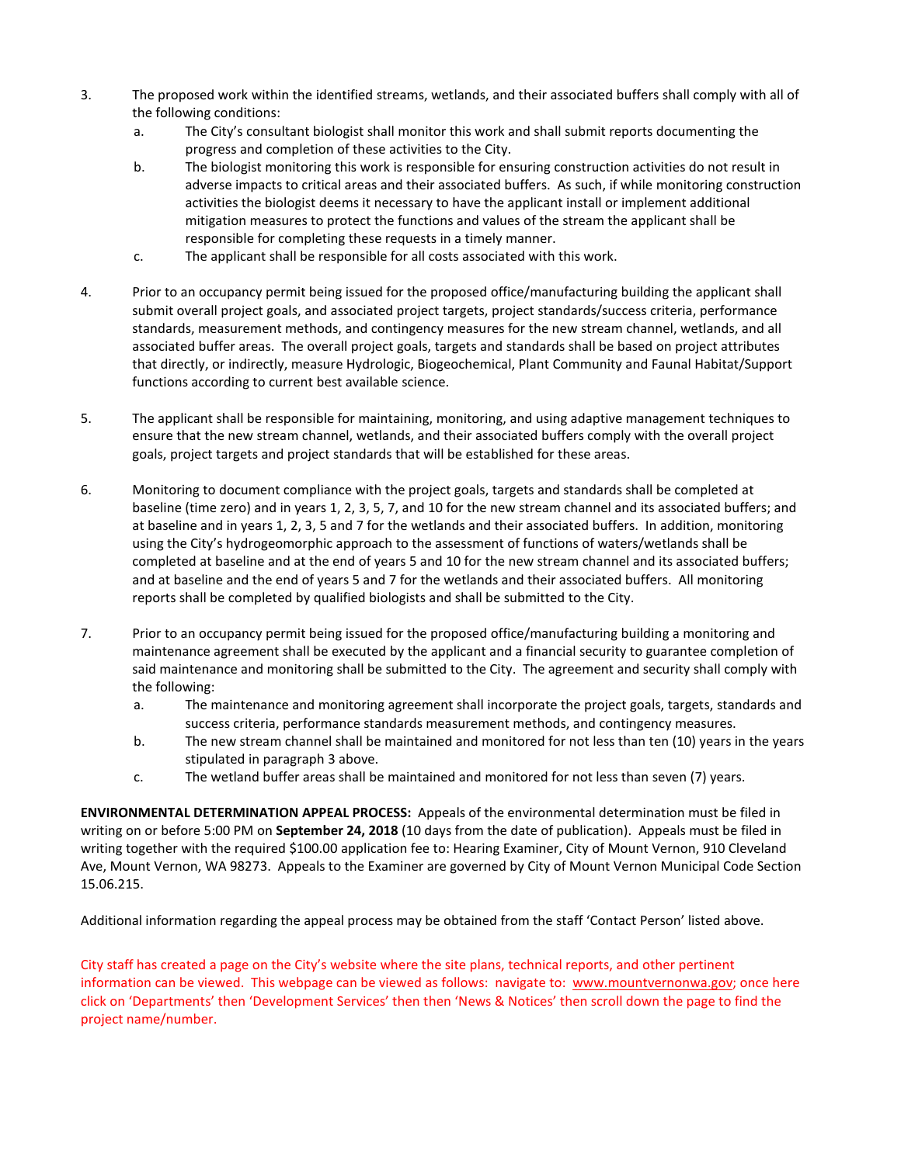- 3. The proposed work within the identified streams, wetlands, and their associated buffers shall comply with all of the following conditions:
	- a. The City's consultant biologist shall monitor this work and shall submit reports documenting the progress and completion of these activities to the City.
	- b. The biologist monitoring this work is responsible for ensuring construction activities do not result in adverse impacts to critical areas and their associated buffers. As such, if while monitoring construction activities the biologist deems it necessary to have the applicant install or implement additional mitigation measures to protect the functions and values of the stream the applicant shall be responsible for completing these requests in a timely manner.
	- c. The applicant shall be responsible for all costs associated with this work.
- 4. Prior to an occupancy permit being issued for the proposed office/manufacturing building the applicant shall submit overall project goals, and associated project targets, project standards/success criteria, performance standards, measurement methods, and contingency measures for the new stream channel, wetlands, and all associated buffer areas. The overall project goals, targets and standards shall be based on project attributes that directly, or indirectly, measure Hydrologic, Biogeochemical, Plant Community and Faunal Habitat/Support functions according to current best available science.
- 5. The applicant shall be responsible for maintaining, monitoring, and using adaptive management techniques to ensure that the new stream channel, wetlands, and their associated buffers comply with the overall project goals, project targets and project standards that will be established for these areas.
- 6. Monitoring to document compliance with the project goals, targets and standards shall be completed at baseline (time zero) and in years 1, 2, 3, 5, 7, and 10 for the new stream channel and its associated buffers; and at baseline and in years 1, 2, 3, 5 and 7 for the wetlands and their associated buffers. In addition, monitoring using the City's hydrogeomorphic approach to the assessment of functions of waters/wetlands shall be completed at baseline and at the end of years 5 and 10 for the new stream channel and its associated buffers; and at baseline and the end of years 5 and 7 for the wetlands and their associated buffers. All monitoring reports shall be completed by qualified biologists and shall be submitted to the City.
- 7. Prior to an occupancy permit being issued for the proposed office/manufacturing building a monitoring and maintenance agreement shall be executed by the applicant and a financial security to guarantee completion of said maintenance and monitoring shall be submitted to the City. The agreement and security shall comply with the following:
	- a. The maintenance and monitoring agreement shall incorporate the project goals, targets, standards and success criteria, performance standards measurement methods, and contingency measures.
	- b. The new stream channel shall be maintained and monitored for not less than ten (10) years in the years stipulated in paragraph 3 above.
	- c. The wetland buffer areas shall be maintained and monitored for not less than seven (7) years.

**ENVIRONMENTAL DETERMINATION APPEAL PROCESS:** Appeals of the environmental determination must be filed in writing on or before 5:00 PM on **September 24, 2018** (10 days from the date of publication). Appeals must be filed in writing together with the required \$100.00 application fee to: Hearing Examiner, City of Mount Vernon, 910 Cleveland Ave, Mount Vernon, WA 98273. Appeals to the Examiner are governed by City of Mount Vernon Municipal Code Section 15.06.215.

Additional information regarding the appeal process may be obtained from the staff 'Contact Person' listed above.

City staff has created a page on the City's website where the site plans, technical reports, and other pertinent information can be viewed. This webpage can be viewed as follows: navigate to: [www.mountvernonwa.gov;](http://www.mountvernonwa.gov/) once here click on 'Departments' then 'Development Services' then then 'News & Notices' then scroll down the page to find the project name/number.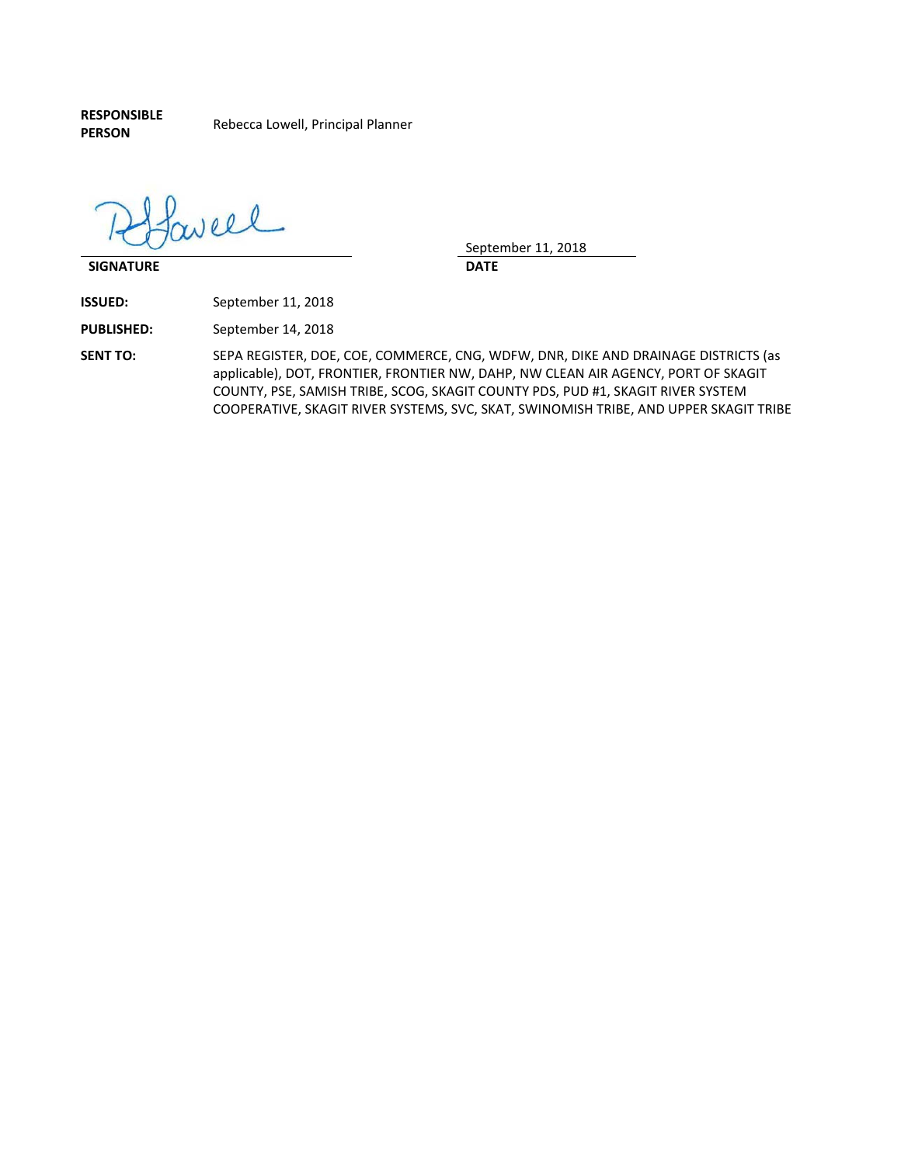**RESPONSIBLE** 

**PERSON** Rebecca Lowell, Principal Planner

Pavell

**SIGNATURE DATE**

September 11, 2018

**ISSUED:** September 11, 2018

**PUBLISHED:** September 14, 2018

**SENT TO:** SEPA REGISTER, DOE, COE, COMMERCE, CNG, WDFW, DNR, DIKE AND DRAINAGE DISTRICTS (as applicable), DOT, FRONTIER, FRONTIER NW, DAHP, NW CLEAN AIR AGENCY, PORT OF SKAGIT COUNTY, PSE, SAMISH TRIBE, SCOG, SKAGIT COUNTY PDS, PUD #1, SKAGIT RIVER SYSTEM COOPERATIVE, SKAGIT RIVER SYSTEMS, SVC, SKAT, SWINOMISH TRIBE, AND UPPER SKAGIT TRIBE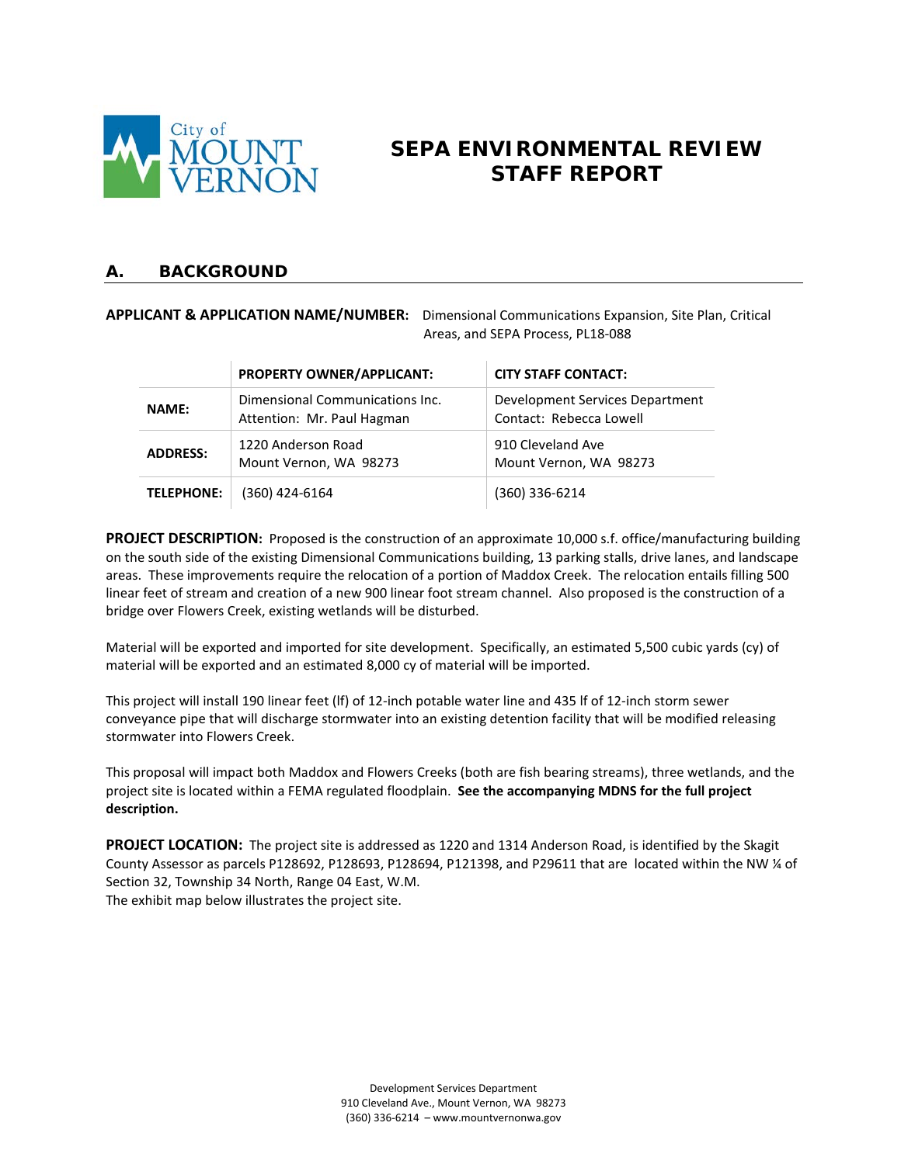

# **SEPA ENVIRONMENTAL REVIEW STAFF REPORT**

### **A. BACKGROUND**

#### **APPLICANT & APPLICATION NAME/NUMBER:** Dimensional Communications Expansion, Site Plan, Critical Areas, and SEPA Process, PL18-088

|                   | PROPERTY OWNER/APPLICANT:                                     | <b>CITY STAFF CONTACT:</b>                                 |
|-------------------|---------------------------------------------------------------|------------------------------------------------------------|
| <b>NAME:</b>      | Dimensional Communications Inc.<br>Attention: Mr. Paul Hagman | Development Services Department<br>Contact: Rebecca Lowell |
| <b>ADDRESS:</b>   | 1220 Anderson Road<br>Mount Vernon, WA 98273                  | 910 Cleveland Ave<br>Mount Vernon, WA 98273                |
| <b>TELEPHONE:</b> | (360) 424-6164                                                | (360) 336-6214                                             |

**PROJECT DESCRIPTION:** Proposed is the construction of an approximate 10,000 s.f. office/manufacturing building on the south side of the existing Dimensional Communications building, 13 parking stalls, drive lanes, and landscape areas. These improvements require the relocation of a portion of Maddox Creek. The relocation entails filling 500 linear feet of stream and creation of a new 900 linear foot stream channel. Also proposed is the construction of a bridge over Flowers Creek, existing wetlands will be disturbed.

Material will be exported and imported for site development. Specifically, an estimated 5,500 cubic yards (cy) of material will be exported and an estimated 8,000 cy of material will be imported.

This project will install 190 linear feet (lf) of 12-inch potable water line and 435 lf of 12-inch storm sewer conveyance pipe that will discharge stormwater into an existing detention facility that will be modified releasing stormwater into Flowers Creek.

This proposal will impact both Maddox and Flowers Creeks (both are fish bearing streams), three wetlands, and the project site is located within a FEMA regulated floodplain. **See the accompanying MDNS for the full project description.** 

**PROJECT LOCATION:** The project site is addressed as 1220 and 1314 Anderson Road, is identified by the Skagit County Assessor as parcels P128692, P128693, P128694, P121398, and P29611 that are located within the NW ¼ of Section 32, Township 34 North, Range 04 East, W.M. The exhibit map below illustrates the project site.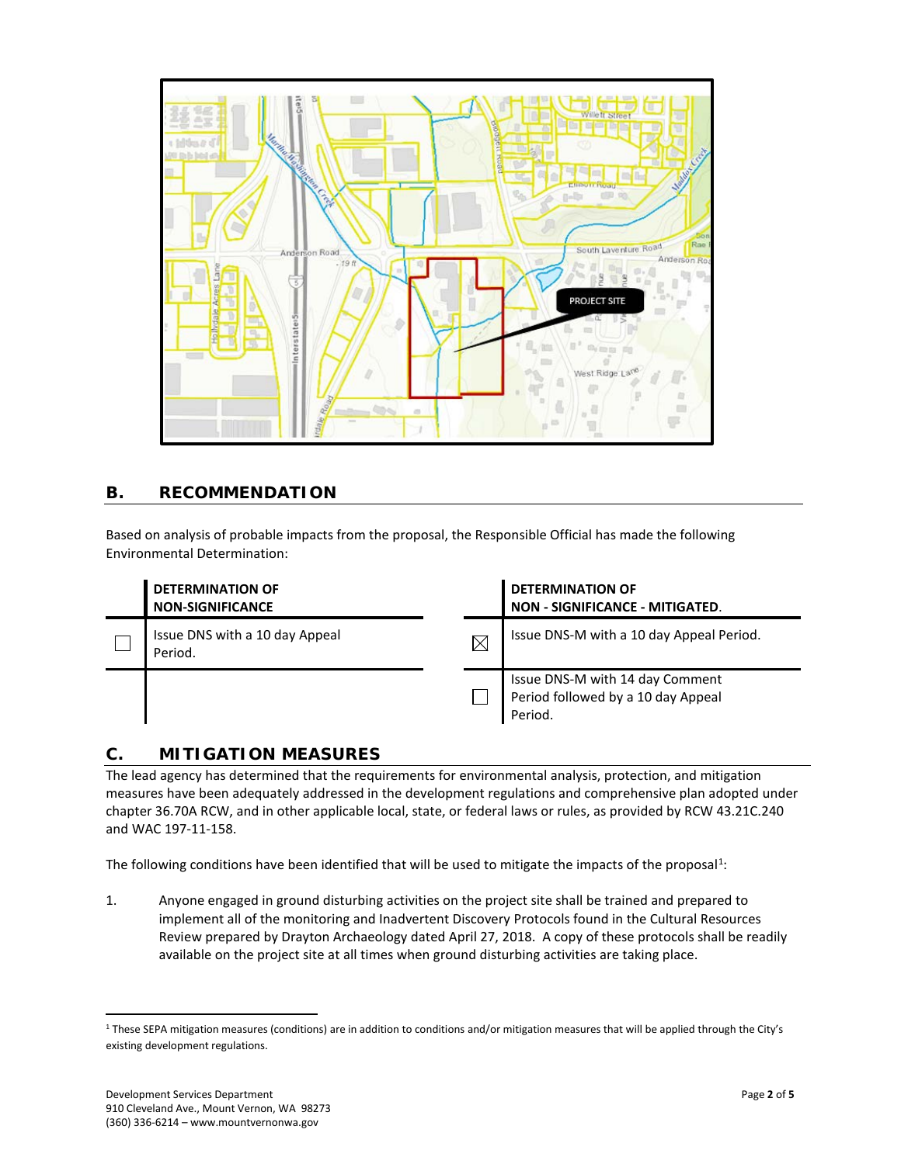

### **B. RECOMMENDATION**

Based on analysis of probable impacts from the proposal, the Responsible Official has made the following Environmental Determination:

| <b>DETERMINATION OF</b><br><b>NON-SIGNIFICANCE</b> |          | <b>DETERMINATION OF</b><br>NON - SIGNIFICANCE - MITIGATED.                       |
|----------------------------------------------------|----------|----------------------------------------------------------------------------------|
| Issue DNS with a 10 day Appeal<br>Period.          | $\times$ | Issue DNS-M with a 10 day Appeal Period.                                         |
|                                                    |          | Issue DNS-M with 14 day Comment<br>Period followed by a 10 day Appeal<br>Period. |

### **C. MITIGATION MEASURES**

The lead agency has determined that the requirements for environmental analysis, protection, and mitigation measures have been adequately addressed in the development regulations and comprehensive plan adopted under chapter 36.70A RCW, and in other applicable local, state, or federal laws or rules, as provided by RCW 43.21C.240 and WAC 197-11-158.

The following conditions have been identified that will be used to mitigate the impacts of the proposal<sup>[1](#page-4-0)</sup>:

1. Anyone engaged in ground disturbing activities on the project site shall be trained and prepared to implement all of the monitoring and Inadvertent Discovery Protocols found in the Cultural Resources Review prepared by Drayton Archaeology dated April 27, 2018. A copy of these protocols shall be readily available on the project site at all times when ground disturbing activities are taking place.

<span id="page-4-0"></span><sup>&</sup>lt;sup>1</sup> These SEPA mitigation measures (conditions) are in addition to conditions and/or mitigation measures that will be applied through the City's existing development regulations.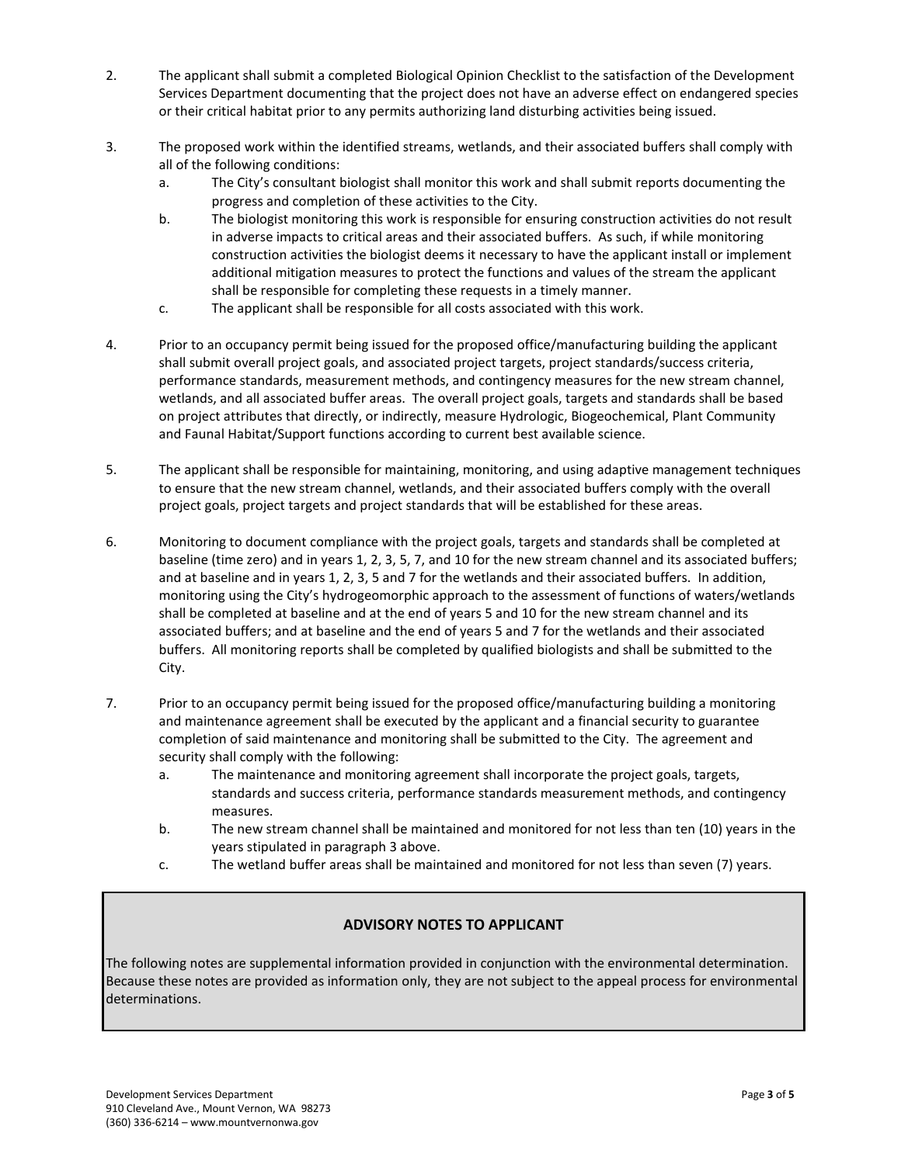- 2. The applicant shall submit a completed Biological Opinion Checklist to the satisfaction of the Development Services Department documenting that the project does not have an adverse effect on endangered species or their critical habitat prior to any permits authorizing land disturbing activities being issued.
- 3. The proposed work within the identified streams, wetlands, and their associated buffers shall comply with all of the following conditions:
	- a. The City's consultant biologist shall monitor this work and shall submit reports documenting the progress and completion of these activities to the City.
	- b. The biologist monitoring this work is responsible for ensuring construction activities do not result in adverse impacts to critical areas and their associated buffers. As such, if while monitoring construction activities the biologist deems it necessary to have the applicant install or implement additional mitigation measures to protect the functions and values of the stream the applicant shall be responsible for completing these requests in a timely manner.
	- c. The applicant shall be responsible for all costs associated with this work.
- 4. Prior to an occupancy permit being issued for the proposed office/manufacturing building the applicant shall submit overall project goals, and associated project targets, project standards/success criteria, performance standards, measurement methods, and contingency measures for the new stream channel, wetlands, and all associated buffer areas. The overall project goals, targets and standards shall be based on project attributes that directly, or indirectly, measure Hydrologic, Biogeochemical, Plant Community and Faunal Habitat/Support functions according to current best available science.
- 5. The applicant shall be responsible for maintaining, monitoring, and using adaptive management techniques to ensure that the new stream channel, wetlands, and their associated buffers comply with the overall project goals, project targets and project standards that will be established for these areas.
- 6. Monitoring to document compliance with the project goals, targets and standards shall be completed at baseline (time zero) and in years 1, 2, 3, 5, 7, and 10 for the new stream channel and its associated buffers; and at baseline and in years 1, 2, 3, 5 and 7 for the wetlands and their associated buffers. In addition, monitoring using the City's hydrogeomorphic approach to the assessment of functions of waters/wetlands shall be completed at baseline and at the end of years 5 and 10 for the new stream channel and its associated buffers; and at baseline and the end of years 5 and 7 for the wetlands and their associated buffers. All monitoring reports shall be completed by qualified biologists and shall be submitted to the City.
- 7. Prior to an occupancy permit being issued for the proposed office/manufacturing building a monitoring and maintenance agreement shall be executed by the applicant and a financial security to guarantee completion of said maintenance and monitoring shall be submitted to the City. The agreement and security shall comply with the following:
	- a. The maintenance and monitoring agreement shall incorporate the project goals, targets, standards and success criteria, performance standards measurement methods, and contingency measures.
	- b. The new stream channel shall be maintained and monitored for not less than ten (10) years in the years stipulated in paragraph 3 above.
	- c. The wetland buffer areas shall be maintained and monitored for not less than seven (7) years.

### **ADVISORY NOTES TO APPLICANT**

The following notes are supplemental information provided in conjunction with the environmental determination. Because these notes are provided as information only, they are not subject to the appeal process for environmental determinations.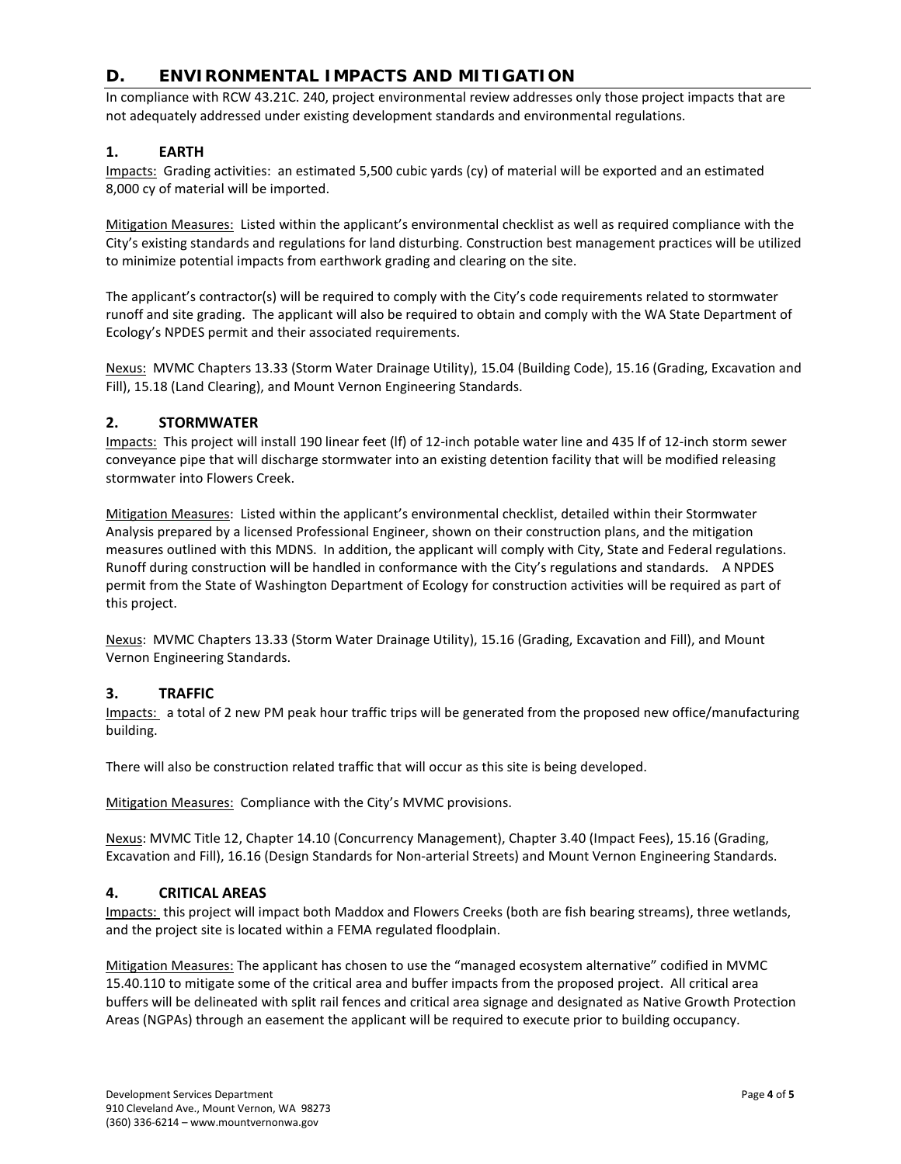### **D. ENVIRONMENTAL IMPACTS AND MITIGATION**

In compliance with RCW 43.21C. 240, project environmental review addresses only those project impacts that are not adequately addressed under existing development standards and environmental regulations.

#### **1. EARTH**

Impacts: Grading activities: an estimated 5,500 cubic yards (cy) of material will be exported and an estimated 8,000 cy of material will be imported.

Mitigation Measures: Listed within the applicant's environmental checklist as well as required compliance with the City's existing standards and regulations for land disturbing. Construction best management practices will be utilized to minimize potential impacts from earthwork grading and clearing on the site.

The applicant's contractor(s) will be required to comply with the City's code requirements related to stormwater runoff and site grading. The applicant will also be required to obtain and comply with the WA State Department of Ecology's NPDES permit and their associated requirements.

Nexus: MVMC Chapters 13.33 (Storm Water Drainage Utility), 15.04 (Building Code), 15.16 (Grading, Excavation and Fill), 15.18 (Land Clearing), and Mount Vernon Engineering Standards.

#### **2. STORMWATER**

Impacts: This project will install 190 linear feet (lf) of 12-inch potable water line and 435 lf of 12-inch storm sewer conveyance pipe that will discharge stormwater into an existing detention facility that will be modified releasing stormwater into Flowers Creek.

Mitigation Measures: Listed within the applicant's environmental checklist, detailed within their Stormwater Analysis prepared by a licensed Professional Engineer, shown on their construction plans, and the mitigation measures outlined with this MDNS. In addition, the applicant will comply with City, State and Federal regulations. Runoff during construction will be handled in conformance with the City's regulations and standards. A NPDES permit from the State of Washington Department of Ecology for construction activities will be required as part of this project.

Nexus: MVMC Chapters 13.33 (Storm Water Drainage Utility), 15.16 (Grading, Excavation and Fill), and Mount Vernon Engineering Standards.

#### **3. TRAFFIC**

Impacts: a total of 2 new PM peak hour traffic trips will be generated from the proposed new office/manufacturing building.

There will also be construction related traffic that will occur as this site is being developed.

Mitigation Measures: Compliance with the City's MVMC provisions.

Nexus: MVMC Title 12, Chapter 14.10 (Concurrency Management), Chapter 3.40 (Impact Fees), 15.16 (Grading, Excavation and Fill), 16.16 (Design Standards for Non-arterial Streets) and Mount Vernon Engineering Standards.

#### **4. CRITICAL AREAS**

Impacts: this project will impact both Maddox and Flowers Creeks (both are fish bearing streams), three wetlands, and the project site is located within a FEMA regulated floodplain.

Mitigation Measures: The applicant has chosen to use the "managed ecosystem alternative" codified in MVMC 15.40.110 to mitigate some of the critical area and buffer impacts from the proposed project. All critical area buffers will be delineated with split rail fences and critical area signage and designated as Native Growth Protection Areas (NGPAs) through an easement the applicant will be required to execute prior to building occupancy.